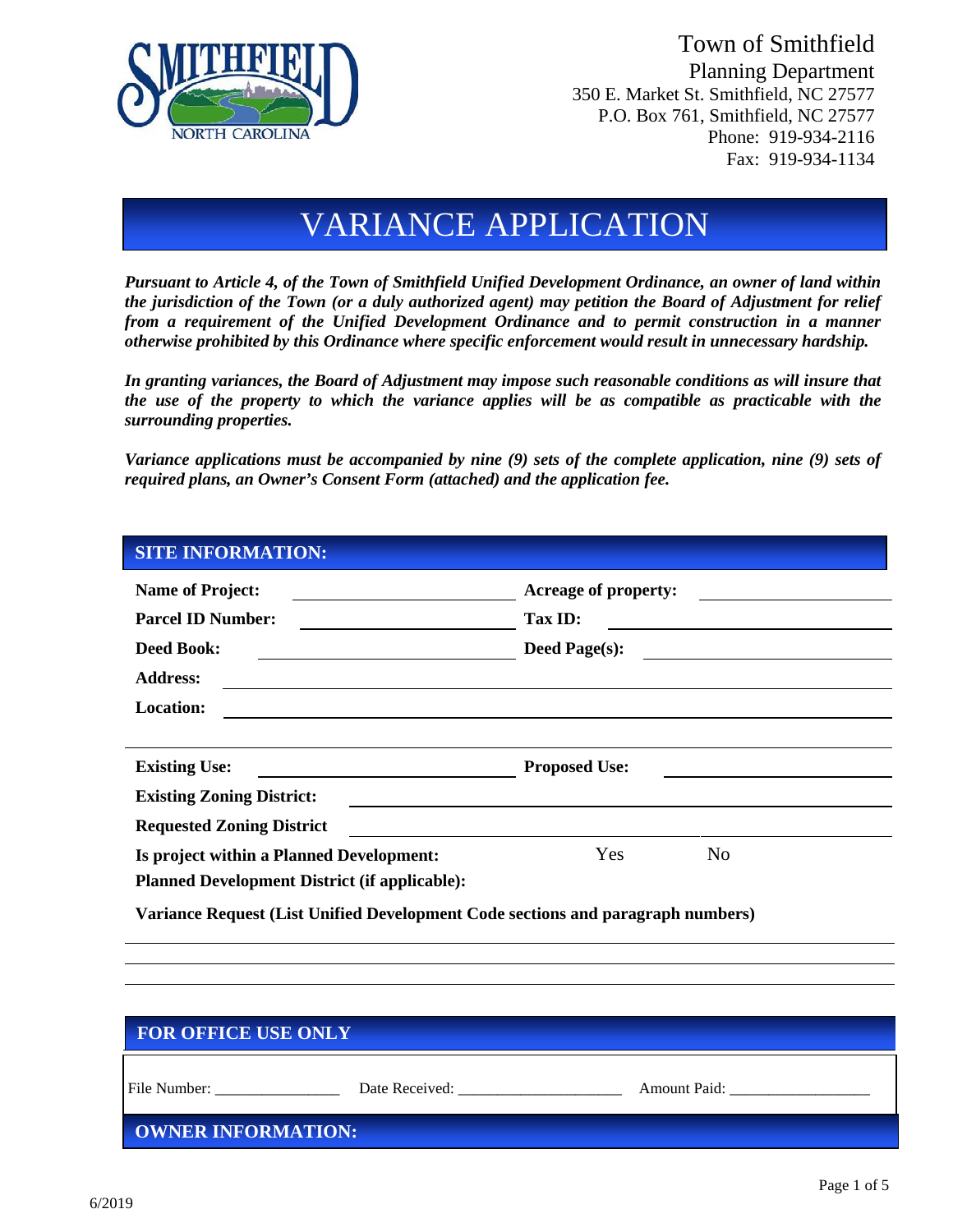

Town of Smithfield Planning Department 350 E. Market St. Smithfield, NC 27577 P.O. Box 761, Smithfield, NC 27577 Phone: 919-934-2116 Fax: 919-934-1134

# VARIANCE APPLICATION

*Pursuant to Article 4, of the Town of Smithfield Unified Development Ordinance, an owner of land within the jurisdiction of the Town (or a duly authorized agent) may petition the Board of Adjustment for relief from a requirement of the Unified Development Ordinance and to permit construction in a manner otherwise prohibited by this Ordinance where specific enforcement would result in unnecessary hardship.*

*In granting variances, the Board of Adjustment may impose such reasonable conditions as will insure that the use of the property to which the variance applies will be as compatible as practicable with the surrounding properties.*

*Variance applications must be accompanied by nine (9) sets of the complete application, nine (9) sets of required plans, an Owner's Consent Form (attached) and the application fee.* 

#### **SITE INFORMATION:**

| <b>Name of Project:</b><br><u> 1980 - Johann Barnett, fransk kongresu</u><br><b>Parcel ID Number:</b><br><u> 1980 - Johann Barn, mars an t-Amerikaansk kommunister (</u> | <b>Acreage of property:</b><br><u> 1989 - Andrea Station Books, amerikansk politik (</u><br>Tax ID:                    |  |  |  |
|--------------------------------------------------------------------------------------------------------------------------------------------------------------------------|------------------------------------------------------------------------------------------------------------------------|--|--|--|
| <b>Deed Book:</b><br><u> Alexandria de la contrada de la contrada de la con</u>                                                                                          | Deed Page(s):                                                                                                          |  |  |  |
| <b>Address:</b>                                                                                                                                                          | <u> 1989 - Andrea San Andrea San Andrea San Andrea San Andrea San Andrea San Andrea San Andrea San Andrea San Andr</u> |  |  |  |
| <b>Location:</b>                                                                                                                                                         |                                                                                                                        |  |  |  |
|                                                                                                                                                                          |                                                                                                                        |  |  |  |
| <b>Existing Use:</b>                                                                                                                                                     | <b>Proposed Use:</b>                                                                                                   |  |  |  |
| <b>Existing Zoning District:</b>                                                                                                                                         |                                                                                                                        |  |  |  |
| <b>Requested Zoning District</b>                                                                                                                                         |                                                                                                                        |  |  |  |
| Is project within a Planned Development:                                                                                                                                 | Yes<br>N <sub>0</sub>                                                                                                  |  |  |  |
| <b>Planned Development District (if applicable):</b>                                                                                                                     |                                                                                                                        |  |  |  |
| Variance Request (List Unified Development Code sections and paragraph numbers)                                                                                          |                                                                                                                        |  |  |  |

| <b>FOR OFFICE USE ONLY</b> |                |                     |  |  |
|----------------------------|----------------|---------------------|--|--|
| File Number:               | Date Received: | <b>Amount Paid:</b> |  |  |
| OWNER INFORMATION:         |                |                     |  |  |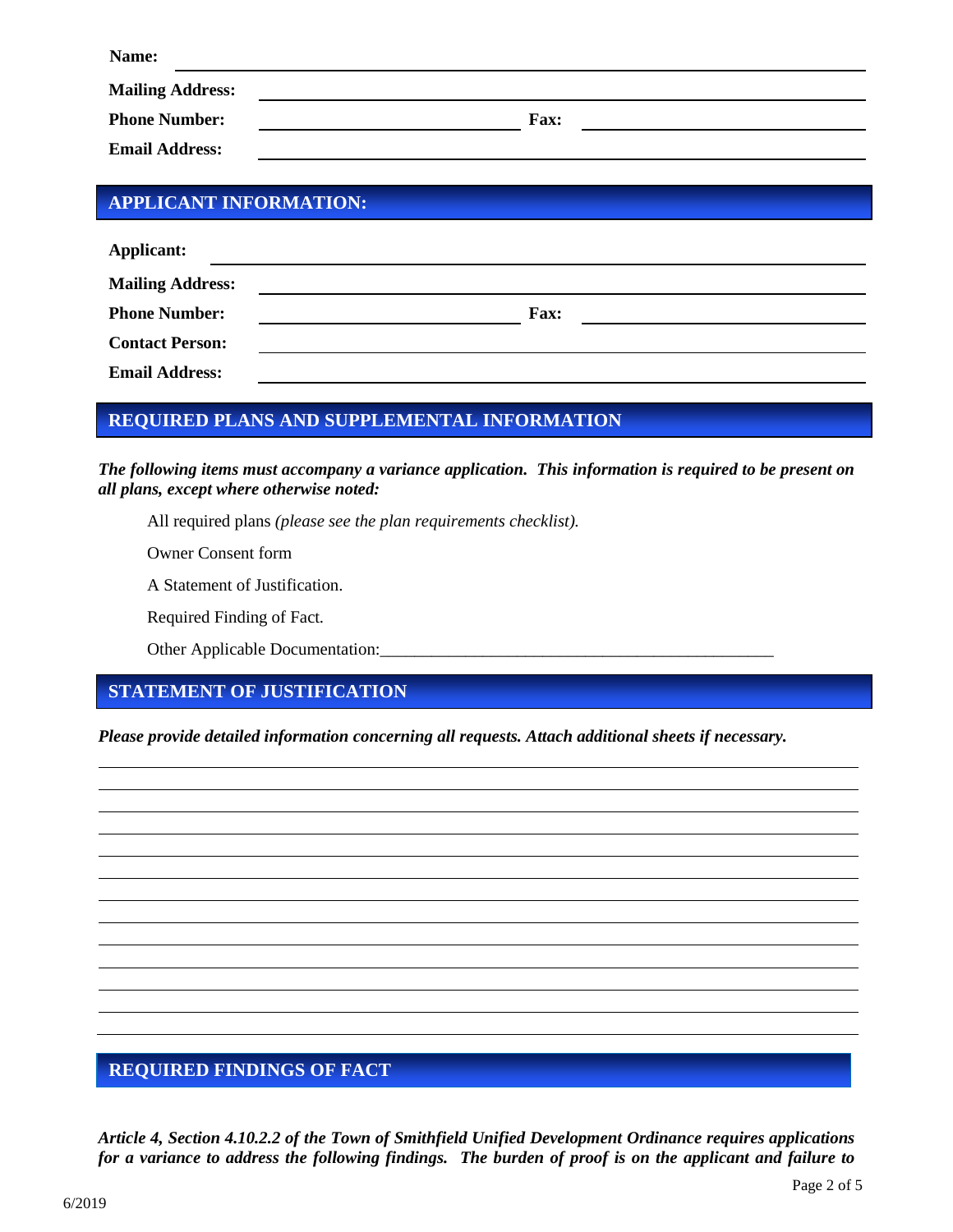| Name:                   |      |  |
|-------------------------|------|--|
| <b>Mailing Address:</b> |      |  |
| <b>Phone Number:</b>    | Fax: |  |
| <b>Email Address:</b>   |      |  |

#### **APPLICANT INFORMATION:**

| <b>Applicant:</b>       |             |  |
|-------------------------|-------------|--|
| <b>Mailing Address:</b> |             |  |
| <b>Phone Number:</b>    | <b>Fax:</b> |  |
| <b>Contact Person:</b>  |             |  |
| <b>Email Address:</b>   |             |  |

## **REQUIRED PLANS AND SUPPLEMENTAL INFORMATION**

*The following items must accompany a variance application. This information is required to be present on all plans, except where otherwise noted:*

All required plans *(please see the plan requirements checklist).* 

Owner Consent form

A Statement of Justification.

Required Finding of Fact*.*

Other Applicable Documentation:

## **STATEMENT OF JUSTIFICATION**

*Please provide detailed information concerning all requests. Attach additional sheets if necessary.*

## **REQUIRED FINDINGS OF FACT**

*Article 4, Section 4.10.2.2 of the Town of Smithfield Unified Development Ordinance requires applications for a variance to address the following findings. The burden of proof is on the applicant and failure to*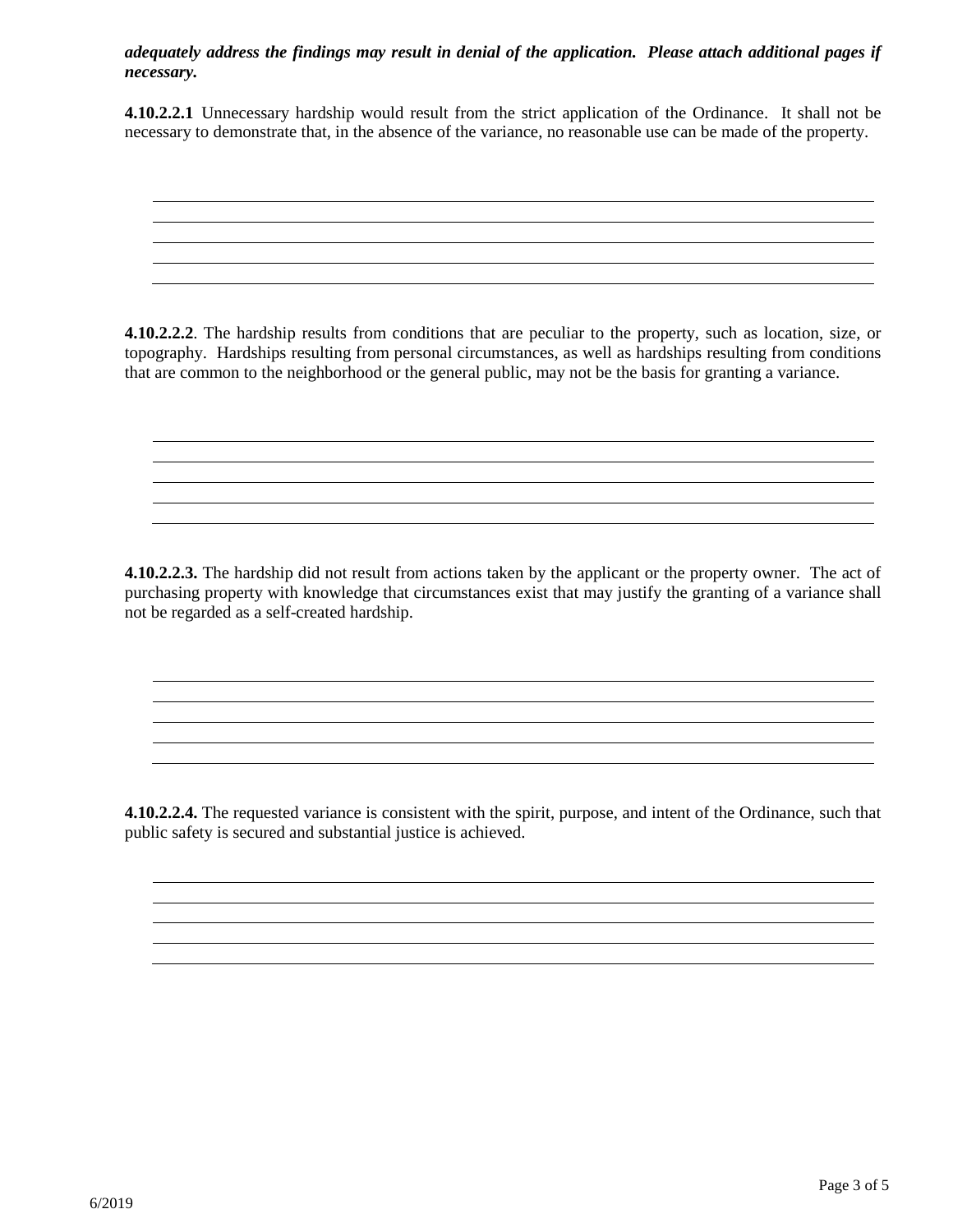#### *adequately address the findings may result in denial of the application. Please attach additional pages if necessary.*

**4.10.2.2.1** Unnecessary hardship would result from the strict application of the Ordinance. It shall not be necessary to demonstrate that, in the absence of the variance, no reasonable use can be made of the property.

**4.10.2.2.2**. The hardship results from conditions that are peculiar to the property, such as location, size, or topography. Hardships resulting from personal circumstances, as well as hardships resulting from conditions that are common to the neighborhood or the general public, may not be the basis for granting a variance.

**4.10.2.2.3.** The hardship did not result from actions taken by the applicant or the property owner. The act of purchasing property with knowledge that circumstances exist that may justify the granting of a variance shall not be regarded as a self-created hardship.

**4.10.2.2.4.** The requested variance is consistent with the spirit, purpose, and intent of the Ordinance, such that public safety is secured and substantial justice is achieved.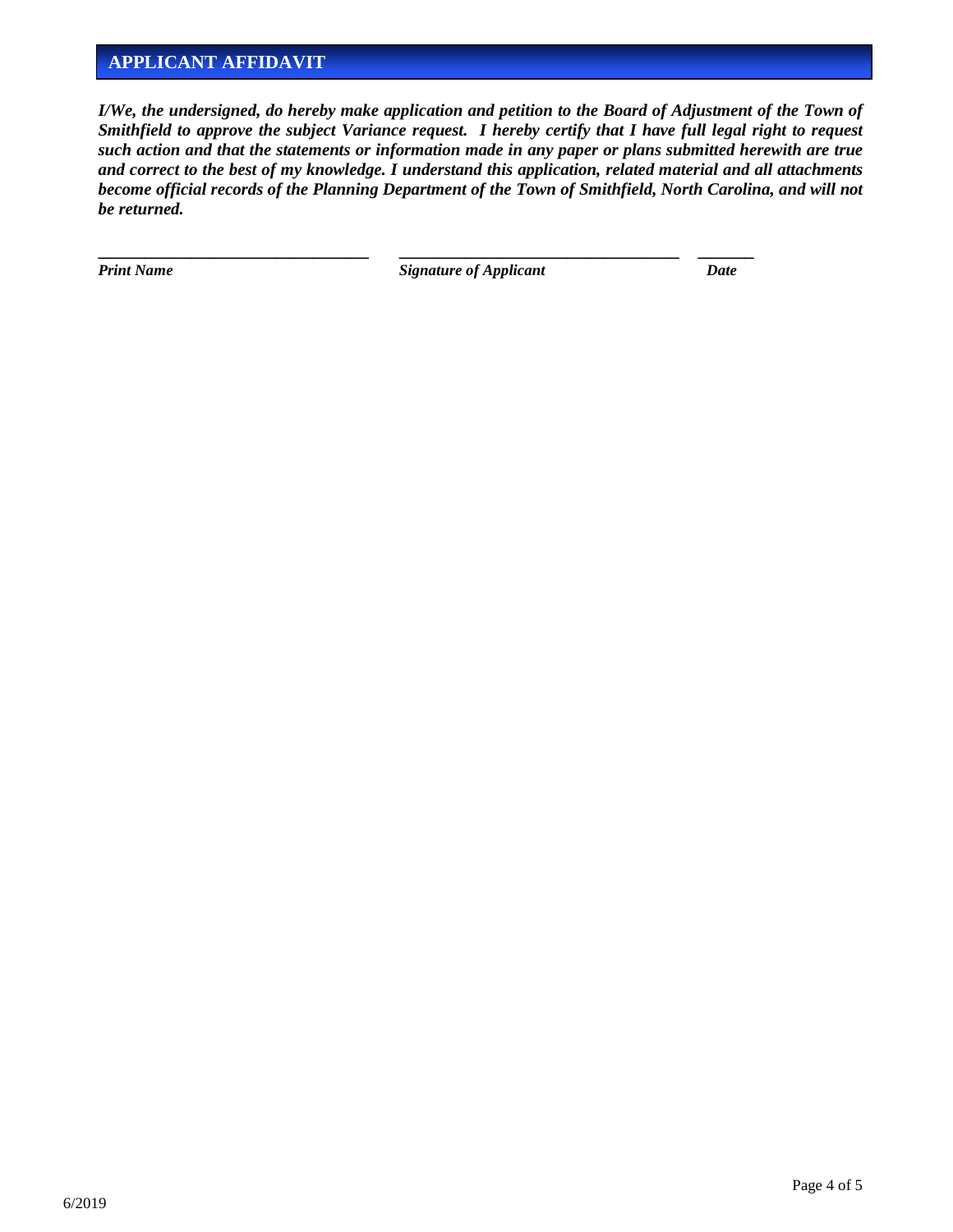#### **APPLICANT AFFIDAVIT**

*I/We, the undersigned, do hereby make application and petition to the Board of Adjustment of the Town of Smithfield to approve the subject Variance request. I hereby certify that I have full legal right to request such action and that the statements or information made in any paper or plans submitted herewith are true and correct to the best of my knowledge. I understand this application, related material and all attachments become official records of the Planning Department of the Town of Smithfield, North Carolina, and will not be returned.*

*Print Name CONDERGIFT <b>Signature of Applicant Date Date Date* 

**\_\_\_\_\_\_\_\_\_\_\_\_\_\_\_\_\_\_\_\_\_\_\_\_\_\_\_\_\_ \_\_\_\_\_\_\_\_\_\_\_\_\_\_\_\_\_\_\_\_\_\_\_\_\_\_\_\_\_\_ \_\_\_\_\_\_**